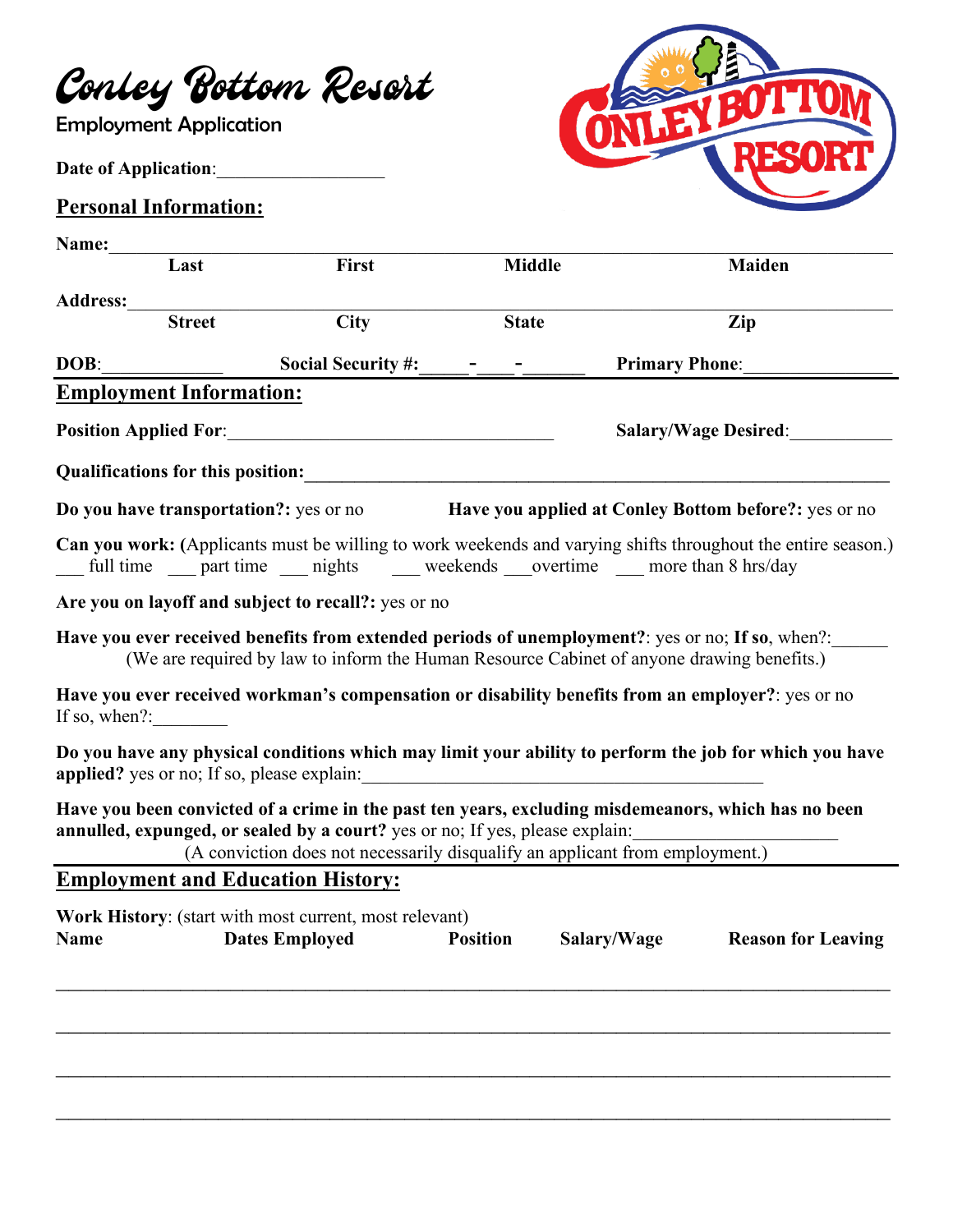## Conley Bottom Resort

Employment Application

## **Date of Application**:\_\_\_\_\_\_\_\_\_\_\_\_\_\_\_\_\_\_

## **Personal Information:**



| Name:           |                                          |                                                                                                                                                                                                                                                                     |                 |                       |                                                                                                              |
|-----------------|------------------------------------------|---------------------------------------------------------------------------------------------------------------------------------------------------------------------------------------------------------------------------------------------------------------------|-----------------|-----------------------|--------------------------------------------------------------------------------------------------------------|
|                 | Last                                     | <b>First</b>                                                                                                                                                                                                                                                        | <b>Middle</b>   |                       | Maiden                                                                                                       |
| <b>Address:</b> |                                          |                                                                                                                                                                                                                                                                     |                 |                       |                                                                                                              |
|                 | <b>Street</b>                            | <b>City</b>                                                                                                                                                                                                                                                         | <b>State</b>    |                       | Zip                                                                                                          |
| DOB:            |                                          | <b>Social Security #:</b>                                                                                                                                                                                                                                           |                 | <b>Primary Phone:</b> |                                                                                                              |
|                 | <b>Employment Information:</b>           |                                                                                                                                                                                                                                                                     |                 |                       |                                                                                                              |
|                 |                                          | <b>Position Applied For:</b> No. 2014 19:20 19:20                                                                                                                                                                                                                   |                 |                       | <b>Salary/Wage Desired:</b>                                                                                  |
|                 | <b>Qualifications for this position:</b> |                                                                                                                                                                                                                                                                     |                 |                       |                                                                                                              |
|                 |                                          | <b>Do you have transportation?:</b> yes or no                                                                                                                                                                                                                       |                 |                       | Have you applied at Conley Bottom before?: yes or no                                                         |
|                 |                                          | full time ___ part time ___ nights ____ weekends ___ overtime ___ more than 8 hrs/day                                                                                                                                                                               |                 |                       | Can you work: (Applicants must be willing to work weekends and varying shifts throughout the entire season.) |
|                 |                                          | Are you on layoff and subject to recall?: yes or no                                                                                                                                                                                                                 |                 |                       |                                                                                                              |
|                 |                                          | Have you ever received benefits from extended periods of unemployment?: yes or no; If so, when?:<br>(We are required by law to inform the Human Resource Cabinet of anyone drawing benefits.)                                                                       |                 |                       |                                                                                                              |
| If so, when?:   |                                          | Have you ever received workman's compensation or disability benefits from an employer?: yes or no                                                                                                                                                                   |                 |                       |                                                                                                              |
|                 |                                          | applied? yes or no; If so, please explain:                                                                                                                                                                                                                          |                 |                       | Do you have any physical conditions which may limit your ability to perform the job for which you have       |
|                 |                                          | Have you been convicted of a crime in the past ten years, excluding misdemeanors, which has no been<br>annulled, expunged, or sealed by a court? yes or no; If yes, please explain:<br>(A conviction does not necessarily disqualify an applicant from employment.) |                 |                       |                                                                                                              |
|                 |                                          | <b>Employment and Education History:</b>                                                                                                                                                                                                                            |                 |                       |                                                                                                              |
| <b>Name</b>     |                                          | Work History: (start with most current, most relevant)<br><b>Dates Employed</b>                                                                                                                                                                                     | <b>Position</b> | Salary/Wage           | <b>Reason for Leaving</b>                                                                                    |
|                 |                                          |                                                                                                                                                                                                                                                                     |                 |                       |                                                                                                              |
|                 |                                          |                                                                                                                                                                                                                                                                     |                 |                       |                                                                                                              |
|                 |                                          |                                                                                                                                                                                                                                                                     |                 |                       |                                                                                                              |